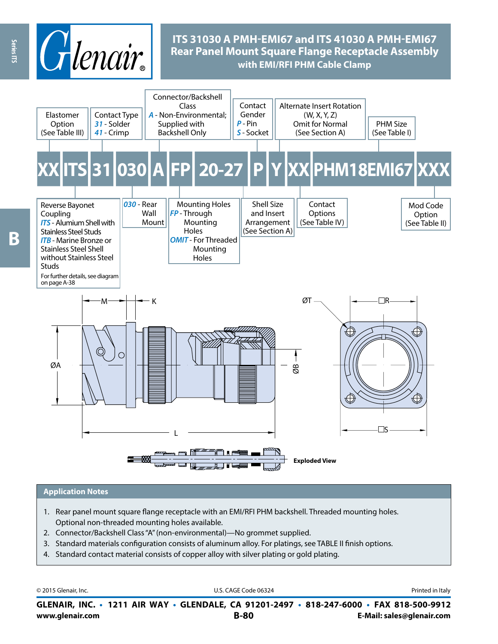

# **ITS 31030 A PMH-EMI67 and ITS 41030 A PMH-EMI67 Rear Panel Mount Square Flange Receptacle Assembly with EMI/RFI PHM Cable Clamp**



#### **Application Notes**

- 1. Rear panel mount square flange receptacle with an EMI/RFI PHM backshell. Threaded mounting holes. Optional non-threaded mounting holes available.
- 2. Connector/Backshell Class "A" (non-environmental)—No grommet supplied.
- 3. Standard materials configuration consists of aluminum alloy. For platings, see TABLE II finish options.
- 4. Standard contact material consists of copper alloy with silver plating or gold plating.

© 2015 Glenair, Inc. **Discription Construction Construction Construction Construction Construction Construction Construction Construction Construction Construction Construction Construction Construction Construction Constr** 

**www.glenair.com B-80 E-Mail: sales@glenair.com GLENAIR, INC. • 1211 AIR WAY • GLENDALE, CA 91201-2497 • 818-247-6000 • FAX 818-500-9912**